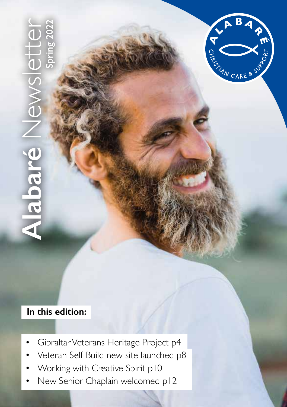**Alabaré** Newsletter **Spring 2022**  $\overline{\blacksquare}$ 309 



### **In this edition:**

- Gibraltar Veterans Heritage Project p4
- Veteran Self-Build new site launched p8
- Working with Creative Spirit p10
- New Senior Chaplain welcomed p12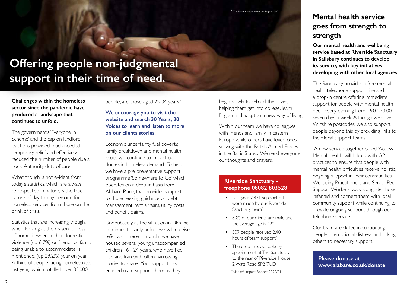# **Offering people non-judgmental support in their time of need.**

**Challenges within the homeless sector since the pandemic have produced a landscape that continues to unfold.** 

The government's 'Everyone In Scheme' and the cap on landlord evictions provided much needed temporary relief and effectively reduced the number of people due a Local Authority duty of care.

What though is not evident from today's statistics, which are always retrospective in nature, is the true nature of day to day demand for homeless services from those on the brink of crisis.

Statistics that are increasing though, when looking at the reason for loss of home, is where either domestic violence (up 6.7%) or friends or family being unable to accommodate, is mentioned, (up 29.2%) year on year. A third of people facing homelessness last year, which totalled over 85,000

people, are those aged 25-34 years.\*

#### **We encourage you to visit the website and search 30 Years, 30 Voices to learn and listen to more on our clients stories.**

Economic uncertainty, fuel poverty, family breakdown and mental health issues will continue to impact our domestic homeless demand. To help we have a pre-preventative support programme 'Somewhere To Go' which operates on a drop-in basis from Alabaré Place, that provides support to those seeking guidance on debt management, rent arrears, utility costs and benefit claims.

Undoubtedly, as the situation in Ukraine continues to sadly unfold we will receive referrals. In recent months we have housed several young unaccompanied children 16 - 24 years, who have fled Iraq and Iran with often harrowing stories to share. Your support has enabled us to support them as they

begin slowly to rebuild their lives, helping them get into college, learn English and adapt to a new way of living.

Within our team we have colleagues with friends and family in Eastern Europe while others have loved ones serving with the British Armed Forces in the Baltic States. We send everyone our thoughts and prayers.

### **Riverside Sanctuary freephone 08082 803528**

- Last year 7,871 support calls were made by our Riverside Sanctuary team\*
- 83% of our clients are male and the average age is 42\*
- 307 people received 2,401 hours of team support<sup>\*</sup>
- The drop-in is available by appointment at The Sanctuary to the rear of Riverside House, 2 Watt Road SP2 7UD

\* Alabaré Impact Report 2020/21

# **Mental health service goes from strength to strength**

**Our mental health and wellbeing service based at Riverside Sanctuary in Salisbury continues to develop its service, with key initiatives developing with other local agencies.**

The Sanctuary provides a free mental health telephone support line and a drop-in centre offering immediate support for people with mental health need every evening from 16:00-23:00, seven days a week. Although we cover Wiltshire postcodes, we also support people beyond this by providing links to their local support teams.

 A new service together called 'Access Mental Health' will link up with GP practices to ensure that people with mental health difficulties receive holistic, ongoing support in their communities. Wellbeing Practitioners and Senior Peer Support Workers 'walk alongside' those referred and connect them with local community support while continuing to provide ongoing support through our telephone service.

Our team are skilled in supporting people in emotional distress, and linking others to necessary support.

**Please donate at www.alabare.co.uk/donate**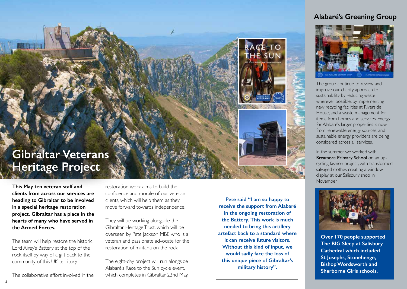### **Alabaré's Greening Group**



The group continue to review and improve our charity approach to sustainability by reducing waste wherever possible, by implementing new recycling facilities at Riverside House, and a waste management for items from homes and services. Energy for Alabaré's larger properties is now from renewable energy sources, and sustainable energy providers are being considered across all services.

In the summer we worked with Breamore Primary School on an upcycling fashion project, with transformed salvaged clothes creating a window display at our Salisbury shop in November.



**Over 170 people supported The BIG Sleep at Salisbury Cathedral which included St Josephs, Stonehenge, Bishop Wordsworth and Sherborne Girls schools.** 

# **Gibraltar Veterans Heritage Project**

**This May ten veteran staff and clients from across our services are heading to Gibraltar to be involved in a special heritage restoration project. Gibraltar has a place in the hearts of many who have served in the Armed Forces.** 

The team will help restore the historic Lord Airey's Battery at the top of the rock itself by way of a gift back to the community of this UK territory.

The collaborative effort involved in the

restoration work aims to build the confidence and morale of our veteran clients, which will help them as they move forward towards independence.

They will be working alongside the Gibraltar Heritage Trust, which will be overseen by Pete Jackson MBE who is a veteran and passionate advocate for the restoration of militaria on the rock.

The eight-day project will run alongside Alabaré's Race to the Sun cycle event, which completes in Gibraltar 22nd May.

**Pete said "I am so happy to receive the support from Alabaré in the ongoing restoration of the Battery. This work is much needed to bring this artillery artefact back to a standard where it can receive future visitors. Without this kind of input, we would sadly face the loss of this unique piece of Gibraltar's military history".**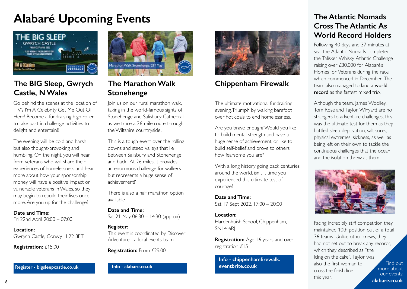# **Alabaré Upcoming Events**



# **The BIG Sleep, Gwrych Castle, N Wales**

Go behind the scenes at the location of ITV's I'm A Celebrity Get Me Out Of Here! Become a fundraising high roller to take part in challenge activities to delight and entertain!!

The evening will be cold and harsh but also thought-provoking and humbling. On the night, you will hear from veterans who will share their experiences of homelessness and hear more about how your sponsorship money will have a positive impact on vulnerable veterans in Wales, so they may begin to rebuild their lives once more. Are you up for the challenge?

#### **Date and Time:**

Fri 22nd April 20:00 – 07:00

#### **Location:**

Gwrych Castle, Conwy LL22 8ET

**Registration:** £15.00

**Register - bigsleepcastle.co.uk Info - alabare.co.uk**



# **The Marathon Walk Stonehenge**

Join us on our rural marathon walk, taking in the world-famous sights of Stonehenge and Salisbury Cathedral as we trace a 26-mile route through the Wiltshire countryside.

This is a tough event over the rolling downs and steep valleys that lie between Salisbury and Stonehenge and back. At 26 miles, it provides an enormous challenge for walkers but represents a huge sense of achievement!'

There is also a half marathon option available.

**Date and Time:** Sat 21 May 06:30 – 14:30 (approx)

#### **Register:**

This event is coordinated by Discover Adventure - a local events team

**Registration:** From £29.00



## **Chippenham Firewalk**

The ultimate motivational fundraising evening. Triumph by walking barefoot over hot coals to end homelessness.

Are you brave enough? Would you like to build mental strength and have a huge sense of achievement, or like to build self-belief and prove to others how fearsome you are?

With a long history going back centuries around the world, isn't it time you experienced this ultimate test of courage?

**Date and Time:** Sat 17 Sept 2022, 17:00 – 20:00

#### **Location:**

Hardenhuish School, Chippenham, SN14 6RJ

**Registration:** Age 16 years and over registration £15

**Info - chippenhamfirewalk. eventbrite.co.uk**

# **The Atlantic Nomads Cross The Atlantic As World Record Holders**

Following 40 days and 37 minutes at sea, the Atlantic Nomads completed the Talisker Whisky Atlantic Challenge raising over £30,000 for Alabaré's Homes for Veterans during the race which commenced in December. The team also managed to land a world record as the fastest mixed trio.

Although the team, James Woolley, Tom Rose and Taylor Winyard are no strangers to adventure challenges, this was the ultimate test for them as they battled sleep deprivation, salt sores, physical extremes, sickness, as well as being left on their own to tackle the continuous challenges that the ocean and the isolation threw at them.



Find out more about our events: **alabare.co.uk** Facing incredibly stiff competition they maintained 10th position out of a total 36 teams. Unlike other crews, they had not set out to break any records, which they described as "the icing on the cake". Taylor was also the first woman to cross the finish line this year.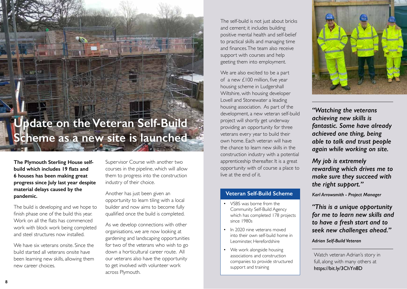# **Update on the Veteran Self-Build Scheme as a new site is launched**

**The Plymouth Sterling House selfbuild which includes 19 flats and 6 houses has been making great progress since July last year despite material delays caused by the pandemic.**

The build is developing and we hope to finish phase one of the build this year. Work on all the flats has commenced work with block work being completed and steel structures now installed.

We have six veterans onsite. Since the build started all veterans onsite have been learning new skills, allowing them new career choices.

Supervisor Course with another two courses in the pipeline, which will allow them to progress into the construction industry of their choice.

Another has just been given an opportunity to learn tiling with a local builder and now aims to become fully quallified once the build is completed.

As we develop connections with other organisations, we are now looking at gardening and landscaping opportunities for two of the veterans who wish to go down a horticultural career route. All our veterans also have the opportunity to get involved with volunteer work across Plymouth.

The self-build is not just about bricks and cement; it includes building positive mental health and self-belief to practical skills and managing time and finances. The team also receive support with courses and help geeting them into employment.

We are also excited to be a part of a new £100 million, five year housing scheme in Ludgershall Wiltshire, with housing developer Lovell and Stonewater a leading housing association. As part of the development, a new veteran self-build project will shortly get underway providing an opportunity for three veterans every year to build their own home. Each veteran will have the chance to learn new skills in the construction industry with a potential apprenticeship thereafter. It is a great opportunity with of course a place to live at the end of it.

### **Veteran Self-Build Scheme**

- VSBS was borne from the Community Self-Build Agency which has completed 178 projects since 1980s
- In 2020 nine veterans moved into their own self-build home in Leominster, Herefordshire
- We work alongside housing associations and construction companies to provide structured support and training



*"Watching the veterans achieving new skills is fantastic. Some have already achieved one thing, being able to talk and trust people again while working on site.* 

*My job is extremely rewarding which drives me to make sure they succeed with the right support."*

*Karl Arrowsmith - Project Manager* 

*"This is a unique opportunity for me to learn new skills and to have a fresh start and to seek new challenges ahead."*

*Adrian Self-Build Veteran*

Watch veteran Adrian's story in full, along with many others at https://bit.ly/3ChYn8D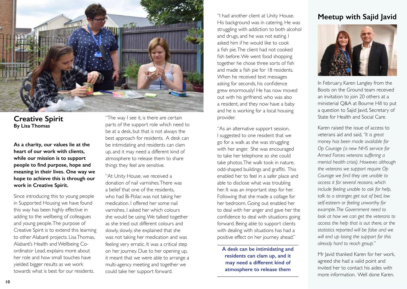

**Creative Spirit By Lisa Thomas**

**As a charity, our values lie at the heart of our work with clients, while our mission is to support people to find purpose, hope and meaning in their lives. One way we hope to achieve this is through our work in Creative Spirit.**

Since introducing this to young people in Supported Housing we have found this way has been highly effective in adding to the wellbeing of colleagues and young people. The purpose of Creative Spirit is to extend this learning to other Alabaré projects. Lisa Thomas, Alabaré's Health and Wellbeing Coordinator Lead, explains more about her role and how small touches have yielded bigger results as we work towards what is best for our residents.

"The way I see it, is there are certain parts of the support role which need to be at a desk, but that is not always the best approach for residents. A desk can be intimidating and residents can clam up, and it may need a different kind of atmosphere to release them to share things they feel are sensitive.

"At Unity House, we received a donation of nail varnishes. There was a belief that one of the residents, who had Bi-Polar, was not taking her medication. I offered her some nail varnishes. I asked her which colours she would be using. We talked together as she tried out different colours and slowly, slowly, she explained that she was not taking her medication and was feeling very erratic. It was a critical step on her journey. Due to her opening up, it meant that we were able to arrange a multi-agency meeting and together we could take her support forward.

"I had another client at Unity House. His background was in catering. He was struggling with addiction to both alcohol and drugs, and he was not eating. I asked him if he would like to cook a fish pie. The client had not cooked fish before. We went food shopping together he chose three sorts of fish and made a fish pie for 18 residents. When he received text messages asking for seconds, his confidence grew enormously! He has now moved out with his girlfriend, who was also a resident, and they now have a baby and he is working for a local housing provider.

"As an alternative support session, I suggested to one resident that we go for a walk as she was struggling with her anger. She was encouraged to take her telephone so she could take photos. The walk took in nature, odd-shaped buildings and graffiti. This enabled her to feel in a safer place and able to disclose what was troubling her. It was an important step for her. Following that she made a collage for her bedroom. Going out enabled her to deal with her anger and gave her the confidence to deal with situations going forward. Being able to support clients with dealing with situations has had a positive effect on her journey ahead."

**A desk can be intimidating and residents can clam up, and it may need a different kind of atmosphere to release them** 

# **Meetup with Sajid Javid**



In February, Karen Langley from the Boots on the Ground team received an invitation to join 20 others at a ministerial Q&A at Bourne Hill to put a question to Sajid Javid, Secretary of State for Health and Social Care.

Karen raised the issue of access to veterans aid and said, *"It is great money has been made available for Op Courage (a new NHS service for Armed Forces veterans suffering a mental health crisis). However, although the veterans we support require Op Courage we find they are unable to access it for several reasons, which include feeling unable to ask for help, talk to a stranger, get out of bed, low self-esteem or feeling unworthy for example. The Government need to look at how we can get the veterans to access the help that is out there, or the statistics reported will be false and we will end up losing the support for this already hard to reach group.*"

Mr Javid thanked Karen for her work, agreed she had a valid point and invited her to contact his aides with more information. Well done Karen.